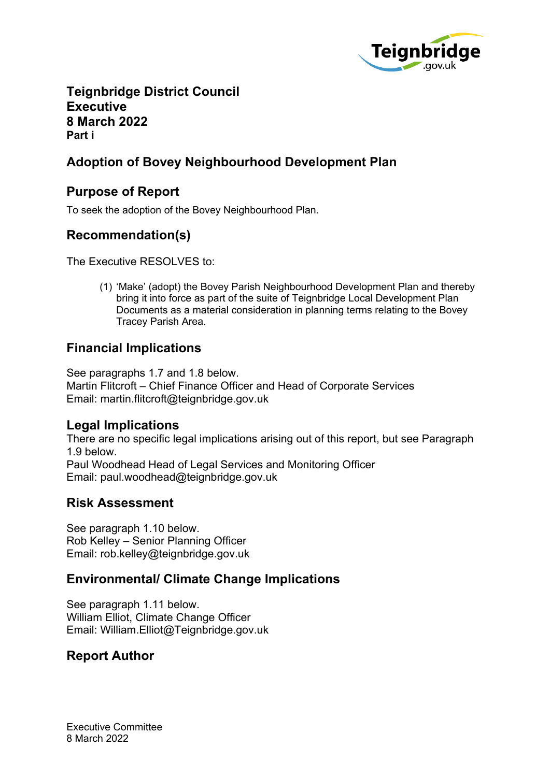

### **Teignbridge District Council Executive 8 March 2022 Part i**

# **Adoption of Bovey Neighbourhood Development Plan**

## **Purpose of Report**

To seek the adoption of the Bovey Neighbourhood Plan.

# **Recommendation(s)**

The Executive RESOLVES to:

(1) 'Make' (adopt) the Bovey Parish Neighbourhood Development Plan and thereby bring it into force as part of the suite of Teignbridge Local Development Plan Documents as a material consideration in planning terms relating to the Bovey Tracey Parish Area.

# **Financial Implications**

See paragraphs 1.7 and 1.8 below. Martin Flitcroft – Chief Finance Officer and Head of Corporate Services Email: martin.flitcroft@teignbridge.gov.uk

### **Legal Implications**

There are no specific legal implications arising out of this report, but see Paragraph 1.9 below. Paul Woodhead Head of Legal Services and Monitoring Officer Email: paul.woodhead@teignbridge.gov.uk

### **Risk Assessment**

See paragraph 1.10 below. Rob Kelley – Senior Planning Officer Email: rob.kelley@teignbridge.gov.uk

# **Environmental/ Climate Change Implications**

See paragraph 1.11 below. William Elliot, Climate Change Officer Email: William.Elliot@Teignbridge.gov.uk

# **Report Author**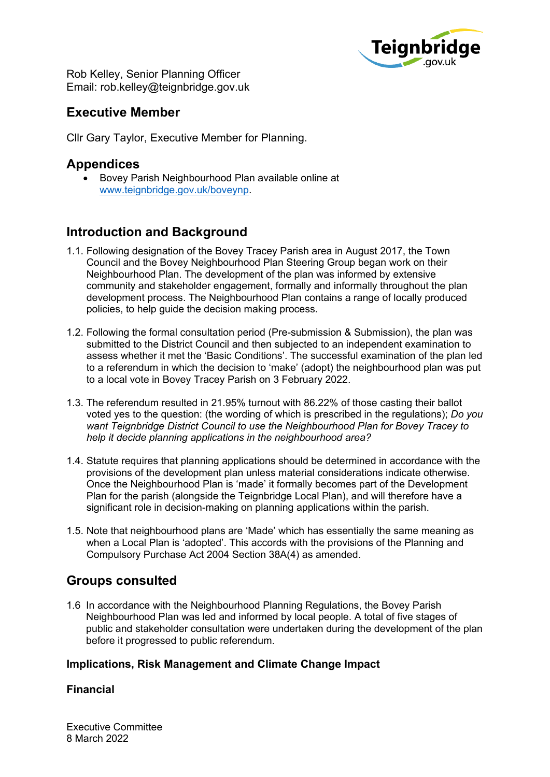

Rob Kelley, Senior Planning Officer Email: rob.kelley@teignbridge.gov.uk

## **Executive Member**

Cllr Gary Taylor, Executive Member for Planning.

### **Appendices**

 Bovey Parish Neighbourhood Plan available online at [www.teignbridge.gov.uk/boveynp](http://www.teignbridge.gov.uk/boveynp).

# **Introduction and Background**

- 1.1. Following designation of the Bovey Tracey Parish area in August 2017, the Town Council and the Bovey Neighbourhood Plan Steering Group began work on their Neighbourhood Plan. The development of the plan was informed by extensive community and stakeholder engagement, formally and informally throughout the plan development process. The Neighbourhood Plan contains a range of locally produced policies, to help guide the decision making process.
- 1.2. Following the formal consultation period (Pre-submission & Submission), the plan was submitted to the District Council and then subjected to an independent examination to assess whether it met the 'Basic Conditions'. The successful examination of the plan led to a referendum in which the decision to 'make' (adopt) the neighbourhood plan was put to a local vote in Bovey Tracey Parish on 3 February 2022.
- 1.3. The referendum resulted in 21.95% turnout with 86.22% of those casting their ballot voted yes to the question: (the wording of which is prescribed in the regulations); *Do you want Teignbridge District Council to use the Neighbourhood Plan for Bovey Tracey to help it decide planning applications in the neighbourhood area?*
- 1.4. Statute requires that planning applications should be determined in accordance with the provisions of the development plan unless material considerations indicate otherwise. Once the Neighbourhood Plan is 'made' it formally becomes part of the Development Plan for the parish (alongside the Teignbridge Local Plan), and will therefore have a significant role in decision-making on planning applications within the parish.
- 1.5. Note that neighbourhood plans are 'Made' which has essentially the same meaning as when a Local Plan is 'adopted'. This accords with the provisions of the Planning and Compulsory Purchase Act 2004 Section 38A(4) as amended.

# **Groups consulted**

1.6 In accordance with the Neighbourhood Planning Regulations, the Bovey Parish Neighbourhood Plan was led and informed by local people. A total of five stages of public and stakeholder consultation were undertaken during the development of the plan before it progressed to public referendum.

### **Implications, Risk Management and Climate Change Impact**

### **Financial**

Executive Committee 8 March 2022